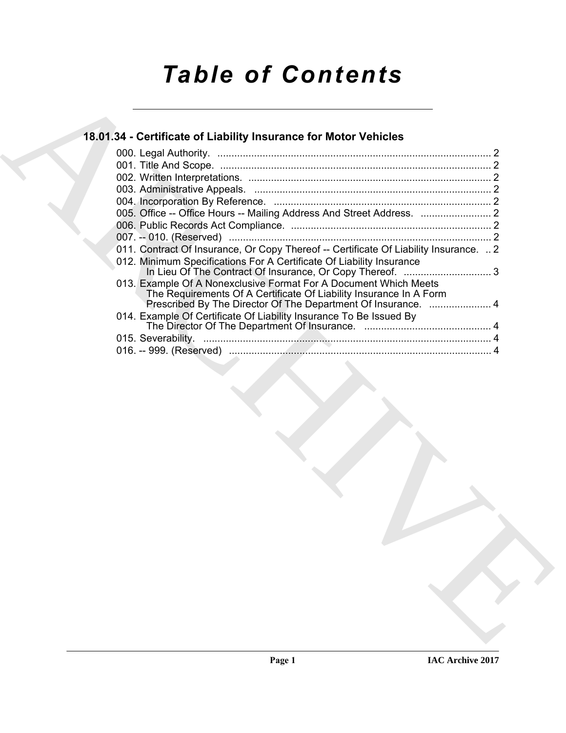# *Table of Contents*

## **18.01.34 - Certificate of Liability Insurance for Motor Vehicles** 000. Legal Authority. ................................................................................................. 2

| 011. Contract Of Insurance, Or Copy Thereof -- Certificate Of Liability Insurance.  2<br>012. Minimum Specifications For A Certificate Of Liability Insurance<br>013. Example Of A Nonexclusive Format For A Document Which Meets<br>The Requirements Of A Certificate Of Liability Insurance In A Form<br>Prescribed By The Director Of The Department Of Insurance.  4<br>014. Example Of Certificate Of Liability Insurance To Be Issued By |  |  |
|------------------------------------------------------------------------------------------------------------------------------------------------------------------------------------------------------------------------------------------------------------------------------------------------------------------------------------------------------------------------------------------------------------------------------------------------|--|--|
|                                                                                                                                                                                                                                                                                                                                                                                                                                                |  |  |
|                                                                                                                                                                                                                                                                                                                                                                                                                                                |  |  |
|                                                                                                                                                                                                                                                                                                                                                                                                                                                |  |  |
|                                                                                                                                                                                                                                                                                                                                                                                                                                                |  |  |
|                                                                                                                                                                                                                                                                                                                                                                                                                                                |  |  |
|                                                                                                                                                                                                                                                                                                                                                                                                                                                |  |  |
|                                                                                                                                                                                                                                                                                                                                                                                                                                                |  |  |
|                                                                                                                                                                                                                                                                                                                                                                                                                                                |  |  |
|                                                                                                                                                                                                                                                                                                                                                                                                                                                |  |  |
|                                                                                                                                                                                                                                                                                                                                                                                                                                                |  |  |
|                                                                                                                                                                                                                                                                                                                                                                                                                                                |  |  |
|                                                                                                                                                                                                                                                                                                                                                                                                                                                |  |  |
|                                                                                                                                                                                                                                                                                                                                                                                                                                                |  |  |
|                                                                                                                                                                                                                                                                                                                                                                                                                                                |  |  |
|                                                                                                                                                                                                                                                                                                                                                                                                                                                |  |  |
|                                                                                                                                                                                                                                                                                                                                                                                                                                                |  |  |
|                                                                                                                                                                                                                                                                                                                                                                                                                                                |  |  |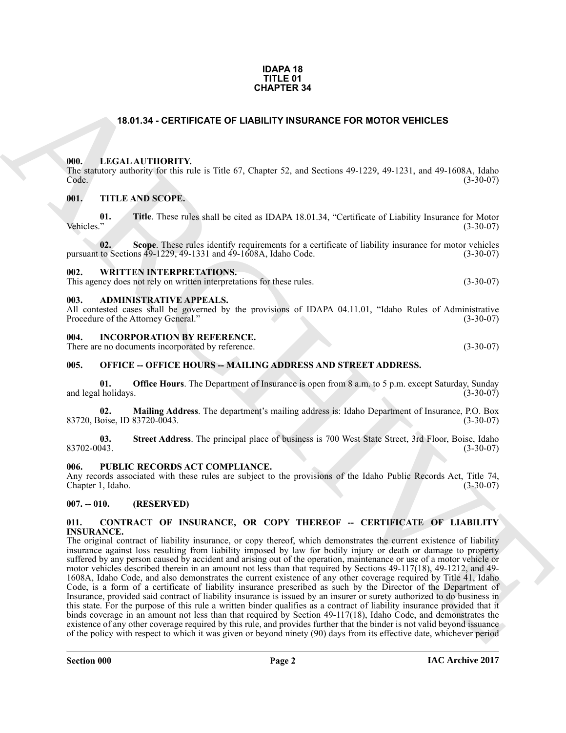#### **IDAPA 18 TITLE 01 CHAPTER 34**

### **18.01.34 - CERTIFICATE OF LIABILITY INSURANCE FOR MOTOR VEHICLES**

#### <span id="page-1-1"></span><span id="page-1-0"></span>**000. LEGAL AUTHORITY.**

The statutory authority for this rule is Title 67, Chapter 52, and Sections 49-1229, 49-1231, and 49-1608A, Idaho Code. (3-30-07)

#### <span id="page-1-2"></span>**001. TITLE AND SCOPE.**

**01.** Title. These rules shall be cited as IDAPA 18.01.34, "Certificate of Liability Insurance for Motor Vehicles." (3-30-07) Vehicles." (3-30-07)

**02.** Scope. These rules identify requirements for a certificate of liability insurance for motor vehicles to Sections 49-1229, 49-1331 and 49-1608A, Idaho Code. (3-30-07) pursuant to Sections  $49-1229$ ,  $49-1331$  and  $49-1608$ A, Idaho Code.

#### <span id="page-1-3"></span>**002. WRITTEN INTERPRETATIONS.**

This agency does not rely on written interpretations for these rules. (3-30-07)

#### <span id="page-1-4"></span>**003. ADMINISTRATIVE APPEALS.**

All contested cases shall be governed by the provisions of IDAPA 04.11.01, "Idaho Rules of Administrative Procedure of the Attorney General." (3-30-07) Procedure of the Attorney General."

#### <span id="page-1-5"></span>**004. INCORPORATION BY REFERENCE.**

There are no documents incorporated by reference. (3-30-07)

#### <span id="page-1-6"></span>**005. OFFICE -- OFFICE HOURS -- MAILING ADDRESS AND STREET ADDRESS.**

**01. Office Hours**. The Department of Insurance is open from 8 a.m. to 5 p.m. except Saturday, Sunday (1-30-07) and legal holidays.

**02. Mailing Address**. The department's mailing address is: Idaho Department of Insurance, P.O. Box 83720, Boise, ID 83720-0043.

**03.** Street Address. The principal place of business is 700 West State Street, 3rd Floor, Boise, Idaho (3-30-07) 83702-0043. (3-30-07)

#### <span id="page-1-7"></span>**006. PUBLIC RECORDS ACT COMPLIANCE.**

Any records associated with these rules are subject to the provisions of the Idaho Public Records Act, Title 74, Chapter 1, Idaho. (3-30-07)

#### <span id="page-1-8"></span>**007. -- 010. (RESERVED)**

#### <span id="page-1-10"></span><span id="page-1-9"></span>**011. CONTRACT OF INSURANCE, OR COPY THEREOF -- CERTIFICATE OF LIABILITY INSURANCE.**

**CHAPTER 34**<br> **CHARCHIVE CONFIDENTS CONFIDENT INTO BUT AND DEADLED TRIME CONFIDENT INTO RELATIVE CONFIDENTS.**<br>
THE KNOWS SCOPE CONFIDENT IS and Sections (4) 1229, 49 1231, and 49 16085, Table 10)<br>
Weilshelm Confident We The original contract of liability insurance, or copy thereof, which demonstrates the current existence of liability insurance against loss resulting from liability imposed by law for bodily injury or death or damage to property suffered by any person caused by accident and arising out of the operation, maintenance or use of a motor vehicle or motor vehicles described therein in an amount not less than that required by Sections 49-117(18), 49-1212, and 49- 1608A, Idaho Code, and also demonstrates the current existence of any other coverage required by Title 41, Idaho Code, is a form of a certificate of liability insurance prescribed as such by the Director of the Department of Insurance, provided said contract of liability insurance is issued by an insurer or surety authorized to do business in this state. For the purpose of this rule a written binder qualifies as a contract of liability insurance provided that it binds coverage in an amount not less than that required by Section 49-117(18), Idaho Code, and demonstrates the existence of any other coverage required by this rule, and provides further that the binder is not valid beyond issuance of the policy with respect to which it was given or beyond ninety (90) days from its effective date, whichever period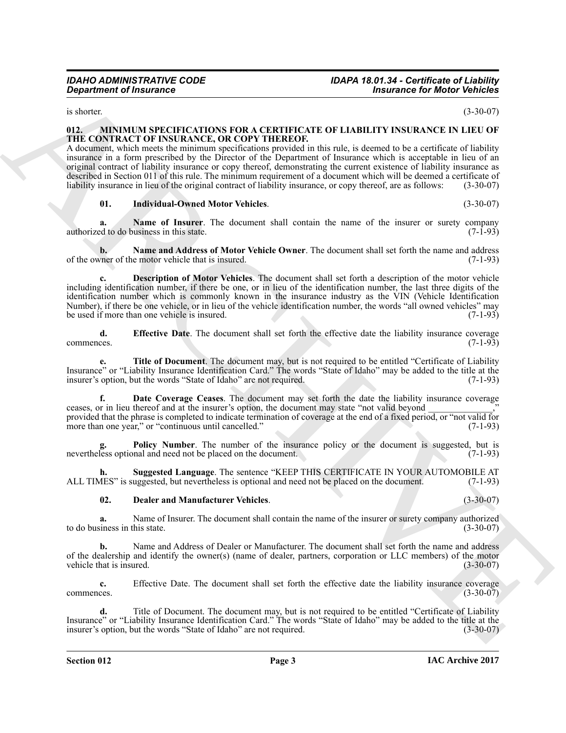<span id="page-2-1"></span>is shorter.  $(3-30-07)$ 

#### <span id="page-2-0"></span>**012. MINIMUM SPECIFICATIONS FOR A CERTIFICATE OF LIABILITY INSURANCE IN LIEU OF THE CONTRACT OF INSURANCE, OR COPY THEREOF.**

A document, which meets the minimum specifications provided in this rule, is deemed to be a certificate of liability insurance in a form prescribed by the Director of the Department of Insurance which is acceptable in lieu of an original contract of liability insurance or copy thereof, demonstrating the current existence of liability insurance as described in Section 011 of this rule. The minimum requirement of a document which will be deemed a certificate of liability insurance in lieu of the original contract of liability insurance, or copy thereof, are as follows: (3-30-07)

#### <span id="page-2-8"></span><span id="page-2-7"></span><span id="page-2-6"></span>**01. Individual-Owned Motor Vehicles**. (3-30-07)

**a.** Name of Insurer. The document shall contain the name of the insurer or surety company of to do business in this state. (7-1-93) authorized to do business in this state.

<span id="page-2-4"></span>**b.** Name and Address of Motor Vehicle Owner. The document shall set forth the name and address oner of the motor vehicle that is insured. (7-1-93) of the owner of the motor vehicle that is insured.

**Expansion of Francesco Control Control Control Control Control Control Control Control Control Control Control Control Control Control Control Control Control Control Control Control Control Control Control Control Contr c. Description of Motor Vehicles**. The document shall set forth a description of the motor vehicle including identification number, if there be one, or in lieu of the identification number, the last three digits of the identification number which is commonly known in the insurance industry as the VIN (Vehicle Identification Number), if there be one vehicle, or in lieu of the vehicle identification number, the words "all owned vehicles" may<br>be used if more than one vehicle is insured. (7-1-93) be used if more than one vehicle is insured.

<span id="page-2-5"></span>**d. Effective Date**. The document shall set forth the effective date the liability insurance coverage commences. (7-1-93) commences. (7-1-93)

<span id="page-2-11"></span>**e. Title of Document**. The document may, but is not required to be entitled "Certificate of Liability Insurance" or "Liability Insurance Identification Card." The words "State of Idaho" may be added to the title at the insurer's option, but the words "State of Idaho" are not required.

<span id="page-2-2"></span>**f. Date Coverage Ceases**. The document may set forth the date the liability insurance coverage ceases, or in lieu thereof and at the insurer's option, the document may state "not valid beyond provided that the phrase is completed to indicate termination of coverage at the end of a fixed period, or "not valid for more than one year." or "continuous until cancelled." more than one year," or "continuous until cancelled."

<span id="page-2-9"></span>**Policy Number**. The number of the insurance policy or the document is suggested, but is nal and need not be placed on the document. (7-1-93) nevertheless optional and need not be placed on the document.

**h.** Suggested Language. The sentence "KEEP THIS CERTIFICATE IN YOUR AUTOMOBILE AT  $AES'$  is suggested, but nevertheless is optional and need not be placed on the document. (7-1-93) ALL TIMES" is suggested, but nevertheless is optional and need not be placed on the document.

#### <span id="page-2-10"></span><span id="page-2-3"></span>**02. Dealer and Manufacturer Vehicles**. (3-30-07)

**a.** Name of Insurer. The document shall contain the name of the insurer or surety company authorized siness in this state.  $(3-30-07)$ to do business in this state.

**b.** Name and Address of Dealer or Manufacturer. The document shall set forth the name and address of the dealership and identify the owner(s) (name of dealer, partners, corporation or LLC members) of the motor vehicle that is insured. (3-30-07) vehicle that is insured.

**c.** Effective Date. The document shall set forth the effective date the liability insurance coverage commences. (3-30-07)  $\epsilon$  commences.  $(3-30-07)$ 

**d.** Title of Document. The document may, but is not required to be entitled "Certificate of Liability Insurance" or "Liability Insurance Identification Card." The words "State of Idaho" may be added to the title at the insurer's option, but the words "State of Idaho" are not required. (3-30-07)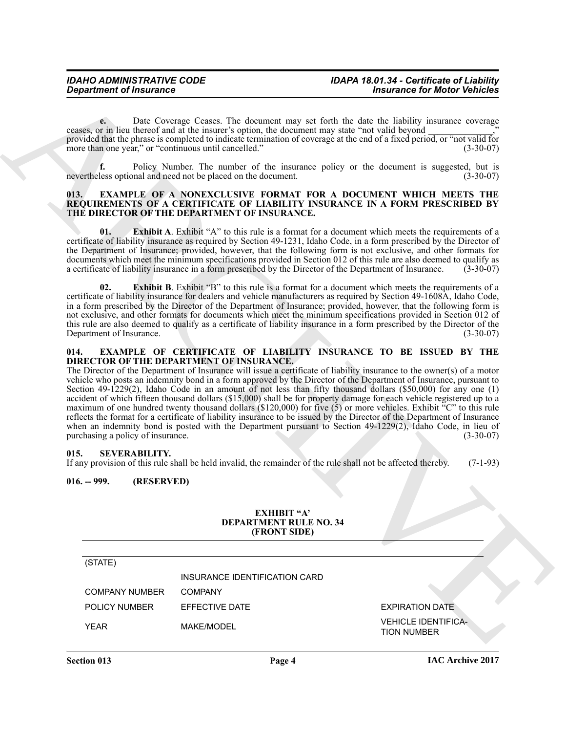**e.** Date Coverage Ceases. The document may set forth the date the liability insurance coverage ceases, or in lieu thereof and at the insurer's option, the document may state "not valid beyond \_\_\_\_\_\_\_\_\_\_\_\_\_\_," provided that the phrase is completed to indicate termination of coverage at the end of a fixed period, or "not valid for more than one year," or "continuous until cancelled." (3-30-07)

**f.** Policy Number. The number of the insurance policy or the document is suggested, but is less optional and need not be placed on the document. (3-30-07) nevertheless optional and need not be placed on the document.

#### <span id="page-3-4"></span><span id="page-3-0"></span>**013. EXAMPLE OF A NONEXCLUSIVE FORMAT FOR A DOCUMENT WHICH MEETS THE REQUIREMENTS OF A CERTIFICATE OF LIABILITY INSURANCE IN A FORM PRESCRIBED BY THE DIRECTOR OF THE DEPARTMENT OF INSURANCE.**

**01.** Exhibit A. Exhibit "A" to this rule is a format for a document which meets the requirements of a certificate of liability insurance as required by Section 49-1231, Idaho Code, in a form prescribed by the Director of the Department of Insurance; provided, however, that the following form is not exclusive, and other formats for documents which meet the minimum specifications provided in Section 012 of this rule are also deemed to qualify as a certificate of liability insurance in a form prescribed by the Director of the Department of Insurance. ( a certificate of liability insurance in a form prescribed by the Director of the Department of Insurance.

**02.** Exhibit B. Exhibit "B" to this rule is a format for a document which meets the requirements of a certificate of liability insurance for dealers and vehicle manufacturers as required by Section 49-1608A, Idaho Code, in a form prescribed by the Director of the Department of Insurance; provided, however, that the following form is not exclusive, and other formats for documents which meet the minimum specifications provided in Section 012 of this rule are also deemed to qualify as a certificate of liability insurance in a form prescribed by the Director of the Department of Insurance. (3-30-07)

#### <span id="page-3-5"></span><span id="page-3-1"></span>**014. EXAMPLE OF CERTIFICATE OF LIABILITY INSURANCE TO BE ISSUED BY THE DIRECTOR OF THE DEPARTMENT OF INSURANCE.**

*Great Prime of Transmist* Const. The december of particle is the data by the detective of the same of the same of the same of the same of the same of the same of the same of the same of the same of the same of the same The Director of the Department of Insurance will issue a certificate of liability insurance to the owner(s) of a motor vehicle who posts an indemnity bond in a form approved by the Director of the Department of Insurance, pursuant to Section 49-1229(2), Idaho Code in an amount of not less than fifty thousand dollars (\$50,000) for any one (1) accident of which fifteen thousand dollars (\$15,000) shall be for property damage for each vehicle registered up to a maximum of one hundred twenty thousand dollars (\$120,000) for five (5) or more vehicles. Exhibit  ${}^nC$ " to this rule reflects the format for a certificate of liability insurance to be issued by the Director of the Department of Insurance when an indemnity bond is posted with the Department pursuant to Section 49-1229(2), Idaho Code, in lieu of purchasing a policy of insurance. (3-30-07) purchasing a policy of insurance.

#### <span id="page-3-2"></span>**015. SEVERABILITY.**

If any provision of this rule shall be held invalid, the remainder of the rule shall not be affected thereby. (7-1-93)

#### <span id="page-3-3"></span>**016. -- 999. (RESERVED)**

#### <span id="page-3-6"></span>**EXHIBIT "A' DEPARTMENT RULE NO. 34 (FRONT SIDE)**

#### (STATE)

|                | INSURANCE IDENTIFICATION CARD |                        |
|----------------|-------------------------------|------------------------|
| COMPANY NUMBER | COMPANY                       |                        |
| POLICY NUMBER  | EFFECTIVE DATE                | <b>EXPIRATION DATE</b> |

YEAR MAKE/MODEL VEHICLE IDENTIFICA-TION NUMBER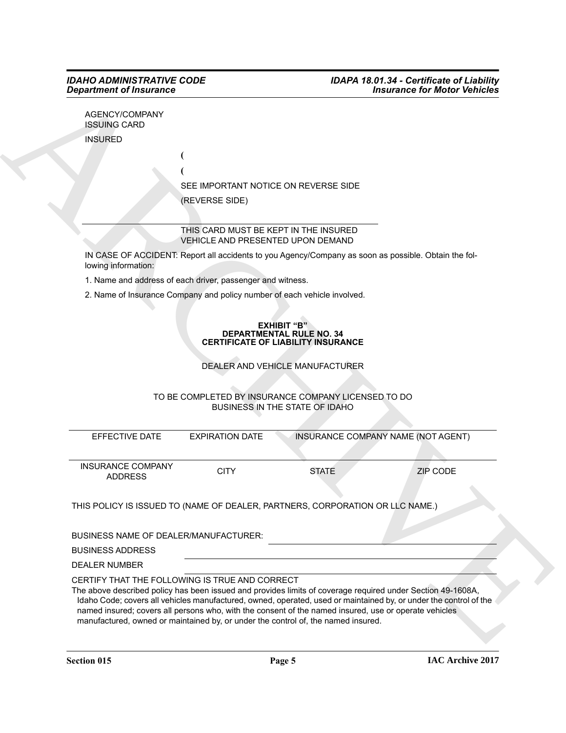| AGENCY/COMPANY |
|----------------|
| ISSUING CARD   |
| INSURED        |

| SEE IMPORTANT NOTICE ON REVERSE SIDE |
|--------------------------------------|
| (REVERSE SIDE)                       |

#### THIS CARD MUST BE KEPT IN THE INSURED VEHICLE AND PRESENTED UPON DEMAND

#### **EXHIBIT "B" DEPARTMENTAL RULE NO. 34 CERTIFICATE OF LIABILITY INSURANCE**

### TO BE COMPLETED BY INSURANCE COMPANY LICENSED TO DO BUSINESS IN THE STATE OF IDAHO

|                          | AGENCY/COMPANY                                                             |                                                                                                      |                                    |
|--------------------------|----------------------------------------------------------------------------|------------------------------------------------------------------------------------------------------|------------------------------------|
| <b>ISSUING CARD</b>      |                                                                            |                                                                                                      |                                    |
| <b>INSURED</b>           |                                                                            |                                                                                                      |                                    |
|                          |                                                                            |                                                                                                      |                                    |
|                          |                                                                            |                                                                                                      |                                    |
|                          |                                                                            | SEE IMPORTANT NOTICE ON REVERSE SIDE                                                                 |                                    |
|                          | (REVERSE SIDE)                                                             |                                                                                                      |                                    |
|                          |                                                                            |                                                                                                      |                                    |
|                          | THIS CARD MUST BE KEPT IN THE INSURED<br>VEHICLE AND PRESENTED UPON DEMAND |                                                                                                      |                                    |
| lowing information:      |                                                                            | IN CASE OF ACCIDENT: Report all accidents to you Agency/Company as soon as possible. Obtain the fol- |                                    |
|                          | 1. Name and address of each driver, passenger and witness.                 |                                                                                                      |                                    |
|                          | 2. Name of Insurance Company and policy number of each vehicle involved.   |                                                                                                      |                                    |
|                          |                                                                            |                                                                                                      |                                    |
|                          |                                                                            | <b>EXHIBIT "B"</b><br><b>DEPARTMENTAL RULE NO. 34</b>                                                |                                    |
|                          |                                                                            | <b>CERTIFICATE OF LIABILITY INSURANCE</b>                                                            |                                    |
|                          |                                                                            |                                                                                                      |                                    |
|                          |                                                                            |                                                                                                      |                                    |
|                          |                                                                            | DEALER AND VEHICLE MANUFACTURER                                                                      |                                    |
|                          |                                                                            | TO BE COMPLETED BY INSURANCE COMPANY LICENSED TO DO                                                  |                                    |
|                          |                                                                            | BUSINESS IN THE STATE OF IDAHO                                                                       |                                    |
|                          |                                                                            |                                                                                                      |                                    |
| EFFECTIVE DATE           | <b>EXPIRATION DATE</b>                                                     |                                                                                                      | INSURANCE COMPANY NAME (NOT AGENT) |
|                          |                                                                            |                                                                                                      |                                    |
| <b>INSURANCE COMPANY</b> | <b>CITY</b>                                                                | <b>STATE</b>                                                                                         | <b>ZIP CODE</b>                    |
| <b>ADDRESS</b>           |                                                                            |                                                                                                      |                                    |
|                          |                                                                            |                                                                                                      |                                    |
|                          |                                                                            | THIS POLICY IS ISSUED TO (NAME OF DEALER, PARTNERS, CORPORATION OR LLC NAME.)                        |                                    |
|                          | BUSINESS NAME OF DEALER/MANUFACTURER:                                      |                                                                                                      |                                    |
| <b>BUSINESS ADDRESS</b>  |                                                                            |                                                                                                      |                                    |
| <b>DEALER NUMBER</b>     |                                                                            |                                                                                                      |                                    |
|                          | CERTIFY THAT THE FOLLOWING IS TRUE AND CORRECT                             |                                                                                                      |                                    |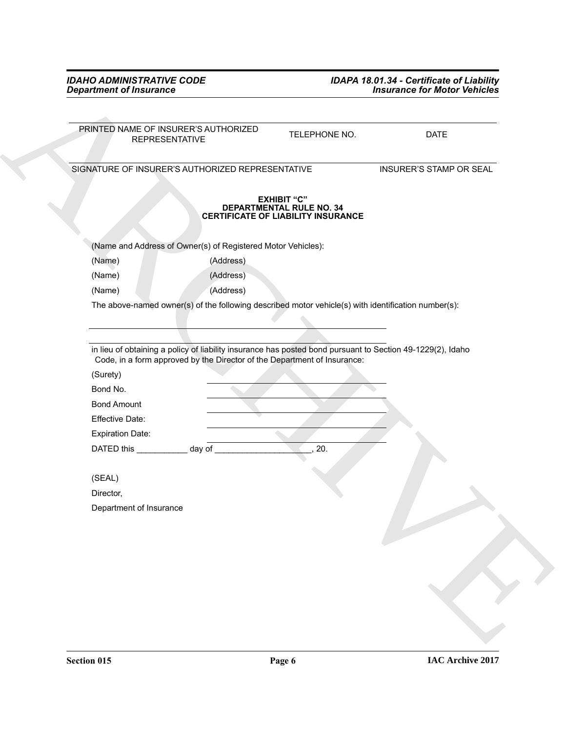<span id="page-5-0"></span>

| <b>Department of Insurance</b>                                                                      |                                                                                             | <b>Insurance for Motor Vehicles</b> |
|-----------------------------------------------------------------------------------------------------|---------------------------------------------------------------------------------------------|-------------------------------------|
|                                                                                                     |                                                                                             |                                     |
| PRINTED NAME OF INSURER'S AUTHORIZED<br><b>REPRESENTATIVE</b>                                       | TELEPHONE NO.                                                                               | <b>DATE</b>                         |
| SIGNATURE OF INSURER'S AUTHORIZED REPRESENTATIVE                                                    |                                                                                             | INSURER'S STAMP OR SEAL             |
|                                                                                                     | <b>EXHIBIT "C"</b><br>DEPARTMENTAL RULE NO. 34<br><b>CERTIFICATE OF LIABILITY INSURANCE</b> |                                     |
| (Name and Address of Owner(s) of Registered Motor Vehicles):                                        |                                                                                             |                                     |
| (Address)<br>(Name)                                                                                 |                                                                                             |                                     |
| (Name)<br>(Address)                                                                                 |                                                                                             |                                     |
| (Address)<br>(Name)                                                                                 |                                                                                             |                                     |
| The above-named owner(s) of the following described motor vehicle(s) with identification number(s): |                                                                                             |                                     |
|                                                                                                     |                                                                                             |                                     |
|                                                                                                     |                                                                                             |                                     |
| Code, in a form approved by the Director of the Department of Insurance:<br>(Surety)<br>Bond No.    |                                                                                             |                                     |
| <b>Bond Amount</b>                                                                                  |                                                                                             |                                     |
| Effective Date:                                                                                     |                                                                                             |                                     |
| <b>Expiration Date:</b>                                                                             |                                                                                             |                                     |
| DATED this _____________ day of ___                                                                 | 20.                                                                                         |                                     |
|                                                                                                     |                                                                                             |                                     |
| (SEAL)                                                                                              |                                                                                             |                                     |
| Director,                                                                                           |                                                                                             |                                     |
| Department of Insurance                                                                             |                                                                                             |                                     |
|                                                                                                     |                                                                                             |                                     |
|                                                                                                     |                                                                                             |                                     |
|                                                                                                     |                                                                                             |                                     |
|                                                                                                     |                                                                                             |                                     |
|                                                                                                     |                                                                                             |                                     |
|                                                                                                     |                                                                                             |                                     |
|                                                                                                     |                                                                                             |                                     |
|                                                                                                     |                                                                                             |                                     |